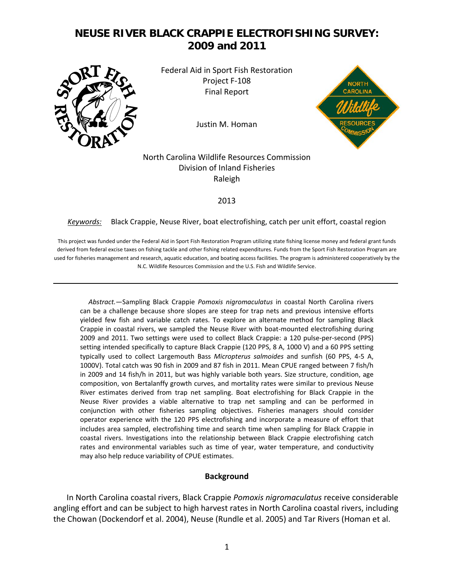# **NEUSE RIVER BLACK CRAPPIE ELECTROFISHING SURVEY: 2009 and 2011**



Federal Aid in Sport Fish Restoration Project F‐108 Final Report

Justin M. Homan



## North Carolina Wildlife Resources Commission Division of Inland Fisheries Raleigh

#### 2013

#### *Keywords:* Black Crappie, Neuse River, boat electrofishing, catch per unit effort, coastal region

This project was funded under the Federal Aid in Sport Fish Restoration Program utilizing state fishing license money and federal grant funds derived from federal excise taxes on fishing tackle and other fishing related expenditures. Funds from the Sport Fish Restoration Program are used for fisheries management and research, aquatic education, and boating access facilities. The program is administered cooperatively by the N.C. Wildlife Resources Commission and the U.S. Fish and Wildlife Service.

 *Abstract.*—Sampling Black Crappie *Pomoxis nigromaculatus* in coastal North Carolina rivers can be a challenge because shore slopes are steep for trap nets and previous intensive efforts yielded few fish and variable catch rates. To explore an alternate method for sampling Black Crappie in coastal rivers, we sampled the Neuse River with boat‐mounted electrofishing during 2009 and 2011. Two settings were used to collect Black Crappie: a 120 pulse-per-second (PPS) setting intended specifically to capture Black Crappie (120 PPS, 8 A, 1000 V) and a 60 PPS setting typically used to collect Largemouth Bass *Micropterus salmoides* and sunfish (60 PPS, 4‐5 A, 1000V). Total catch was 90 fish in 2009 and 87 fish in 2011. Mean CPUE ranged between 7 fish/h in 2009 and 14 fish/h in 2011, but was highly variable both years. Size structure, condition, age composition, von Bertalanffy growth curves, and mortality rates were similar to previous Neuse River estimates derived from trap net sampling. Boat electrofishing for Black Crappie in the Neuse River provides a viable alternative to trap net sampling and can be performed in conjunction with other fisheries sampling objectives. Fisheries managers should consider operator experience with the 120 PPS electrofishing and incorporate a measure of effort that includes area sampled, electrofishing time and search time when sampling for Black Crappie in coastal rivers. Investigations into the relationship between Black Crappie electrofishing catch rates and environmental variables such as time of year, water temperature, and conductivity may also help reduce variability of CPUE estimates.

#### **Background**

In North Carolina coastal rivers, Black Crappie *Pomoxis nigromaculatus* receive considerable angling effort and can be subject to high harvest rates in North Carolina coastal rivers, including the Chowan (Dockendorf et al. 2004), Neuse (Rundle et al. 2005) and Tar Rivers (Homan et al.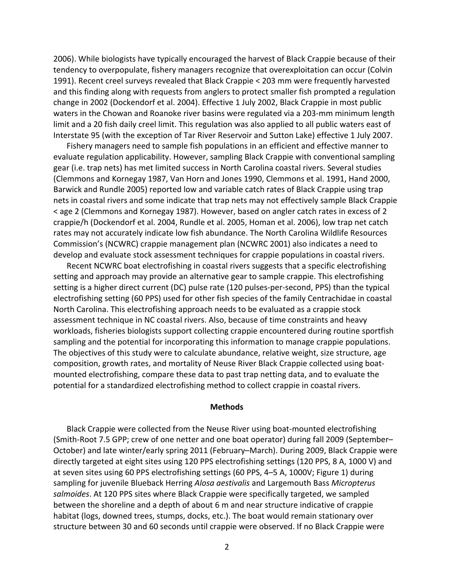2006). While biologists have typically encouraged the harvest of Black Crappie because of their tendency to overpopulate, fishery managers recognize that overexploitation can occur (Colvin 1991). Recent creel surveys revealed that Black Crappie < 203 mm were frequently harvested and this finding along with requests from anglers to protect smaller fish prompted a regulation change in 2002 (Dockendorf et al. 2004). Effective 1 July 2002, Black Crappie in most public waters in the Chowan and Roanoke river basins were regulated via a 203-mm minimum length limit and a 20 fish daily creel limit. This regulation was also applied to all public waters east of Interstate 95 (with the exception of Tar River Reservoir and Sutton Lake) effective 1 July 2007.

Fishery managers need to sample fish populations in an efficient and effective manner to evaluate regulation applicability. However, sampling Black Crappie with conventional sampling gear (i.e. trap nets) has met limited success in North Carolina coastal rivers. Several studies (Clemmons and Kornegay 1987, Van Horn and Jones 1990, Clemmons et al. 1991, Hand 2000, Barwick and Rundle 2005) reported low and variable catch rates of Black Crappie using trap nets in coastal rivers and some indicate that trap nets may not effectively sample Black Crappie < age 2 (Clemmons and Kornegay 1987). However, based on angler catch rates in excess of 2 crappie/h (Dockendorf et al. 2004, Rundle et al. 2005, Homan et al. 2006), low trap net catch rates may not accurately indicate low fish abundance. The North Carolina Wildlife Resources Commission's (NCWRC) crappie management plan (NCWRC 2001) also indicates a need to develop and evaluate stock assessment techniques for crappie populations in coastal rivers.

Recent NCWRC boat electrofishing in coastal rivers suggests that a specific electrofishing setting and approach may provide an alternative gear to sample crappie. This electrofishing setting is a higher direct current (DC) pulse rate (120 pulses‐per‐second, PPS) than the typical electrofishing setting (60 PPS) used for other fish species of the family Centrachidae in coastal North Carolina. This electrofishing approach needs to be evaluated as a crappie stock assessment technique in NC coastal rivers. Also, because of time constraints and heavy workloads, fisheries biologists support collecting crappie encountered during routine sportfish sampling and the potential for incorporating this information to manage crappie populations. The objectives of this study were to calculate abundance, relative weight, size structure, age composition, growth rates, and mortality of Neuse River Black Crappie collected using boat‐ mounted electrofishing, compare these data to past trap netting data, and to evaluate the potential for a standardized electrofishing method to collect crappie in coastal rivers.

#### **Methods**

Black Crappie were collected from the Neuse River using boat‐mounted electrofishing (Smith‐Root 7.5 GPP; crew of one netter and one boat operator) during fall 2009 (September– October) and late winter/early spring 2011 (February–March). During 2009, Black Crappie were directly targeted at eight sites using 120 PPS electrofishing settings (120 PPS, 8 A, 1000 V) and at seven sites using 60 PPS electrofishing settings (60 PPS, 4–5 A, 1000V; Figure 1) during sampling for juvenile Blueback Herring *Alosa aestivalis* and Largemouth Bass *Micropterus salmoides*. At 120 PPS sites where Black Crappie were specifically targeted, we sampled between the shoreline and a depth of about 6 m and near structure indicative of crappie habitat (logs, downed trees, stumps, docks, etc.). The boat would remain stationary over structure between 30 and 60 seconds until crappie were observed. If no Black Crappie were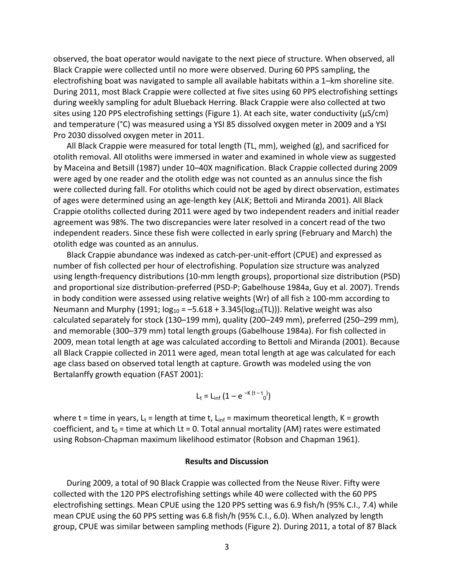observed, the boat operator would navigate to the next piece of structure. When observed, all Black Crappie were collected until no more were observed. During 60 PPS sampling, the electrofishing boat was navigated to sample all available habitats within a 1–km shoreline site. During 2011, most Black Crappie were collected at five sites using 60 PPS electrofishing settings during weekly sampling for adult Blueback Herring. Black Crappie were also collected at two sites using 120 PPS electrofishing settings (Figure 1). At each site, water conductivity ( $\mu$ S/cm) and temperature (°C) was measured using a YSI 85 dissolved oxygen meter in 2009 and a YSI Pro 2030 dissolved oxygen meter in 2011.

All Black Crappie were measured for total length (TL, mm), weighed (g), and sacrificed for otolith removal. All otoliths were immersed in water and examined in whole view as suggested by Maceina and Betsill (1987) under 10–40X magnification. Black Crappie collected during 2009 were aged by one reader and the otolith edge was not counted as an annulus since the fish were collected during fall. For otoliths which could not be aged by direct observation, estimates of ages were determined using an age‐length key (ALK; Bettoli and Miranda 2001). All Black Crappie otoliths collected during 2011 were aged by two independent readers and initial reader agreement was 98%. The two discrepancies were later resolved in a concert read of the two independent readers. Since these fish were collected in early spring (February and March) the otolith edge was counted as an annulus.

Black Crappie abundance was indexed as catch‐per‐unit‐effort (CPUE) and expressed as number of fish collected per hour of electrofishing. Population size structure was analyzed using length‐frequency distributions (10‐mm length groups), proportional size distribution (PSD) and proportional size distribution‐preferred (PSD‐P; Gabelhouse 1984a, Guy et al. 2007). Trends in body condition were assessed using relative weights (Wr) of all fish  $\geq 100$ -mm according to Neumann and Murphy (1991;  $log_{10} = -5.618 + 3.345(log_{10}(TL))$ ). Relative weight was also calculated separately for stock (130–199 mm), quality (200–249 mm), preferred (250–299 mm), and memorable (300–379 mm) total length groups (Gabelhouse 1984a). For fish collected in 2009, mean total length at age was calculated according to Bettoli and Miranda (2001). Because all Black Crappie collected in 2011 were aged, mean total length at age was calculated for each age class based on observed total length at capture. Growth was modeled using the von Bertalanffy growth equation (FAST 2001):

$$
L_t = L_{inf} (1 - e^{-K(t - t_0)})
$$

where t = time in years, L<sub>t</sub> = length at time t, L<sub>inf</sub> = maximum theoretical length, K = growth coefficient, and  $t_0$  = time at which Lt = 0. Total annual mortality (AM) rates were estimated using Robson‐Chapman maximum likelihood estimator (Robson and Chapman 1961).

#### **Results and Discussion**

During 2009, a total of 90 Black Crappie was collected from the Neuse River. Fifty were collected with the 120 PPS electrofishing settings while 40 were collected with the 60 PPS electrofishing settings. Mean CPUE using the 120 PPS setting was 6.9 fish/h (95% C.I., 7.4) while mean CPUE using the 60 PPS setting was 6.8 fish/h (95% C.I., 6.0). When analyzed by length group, CPUE was similar between sampling methods (Figure 2). During 2011, a total of 87 Black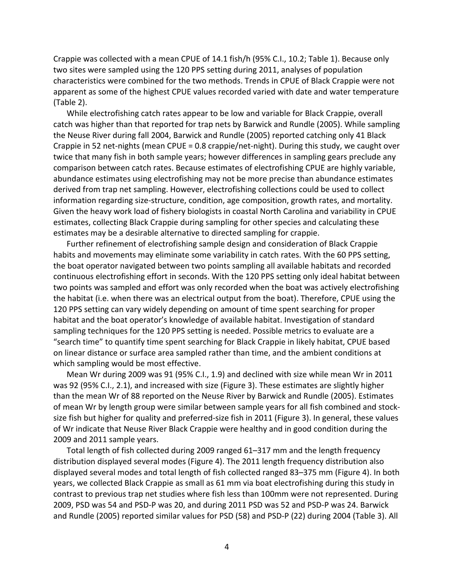Crappie was collected with a mean CPUE of 14.1 fish/h (95% C.I., 10.2; Table 1). Because only two sites were sampled using the 120 PPS setting during 2011, analyses of population characteristics were combined for the two methods. Trends in CPUE of Black Crappie were not apparent as some of the highest CPUE values recorded varied with date and water temperature (Table 2).

While electrofishing catch rates appear to be low and variable for Black Crappie, overall catch was higher than that reported for trap nets by Barwick and Rundle (2005). While sampling the Neuse River during fall 2004, Barwick and Rundle (2005) reported catching only 41 Black Crappie in 52 net‐nights (mean CPUE = 0.8 crappie/net‐night). During this study, we caught over twice that many fish in both sample years; however differences in sampling gears preclude any comparison between catch rates. Because estimates of electrofishing CPUE are highly variable, abundance estimates using electrofishing may not be more precise than abundance estimates derived from trap net sampling. However, electrofishing collections could be used to collect information regarding size‐structure, condition, age composition, growth rates, and mortality. Given the heavy work load of fishery biologists in coastal North Carolina and variability in CPUE estimates, collecting Black Crappie during sampling for other species and calculating these estimates may be a desirable alternative to directed sampling for crappie.

Further refinement of electrofishing sample design and consideration of Black Crappie habits and movements may eliminate some variability in catch rates. With the 60 PPS setting, the boat operator navigated between two points sampling all available habitats and recorded continuous electrofishing effort in seconds. With the 120 PPS setting only ideal habitat between two points was sampled and effort was only recorded when the boat was actively electrofishing the habitat (i.e. when there was an electrical output from the boat). Therefore, CPUE using the 120 PPS setting can vary widely depending on amount of time spent searching for proper habitat and the boat operator's knowledge of available habitat. Investigation of standard sampling techniques for the 120 PPS setting is needed. Possible metrics to evaluate are a "search time" to quantify time spent searching for Black Crappie in likely habitat, CPUE based on linear distance or surface area sampled rather than time, and the ambient conditions at which sampling would be most effective.

Mean Wr during 2009 was 91 (95% C.I., 1.9) and declined with size while mean Wr in 2011 was 92 (95% C.I., 2.1), and increased with size (Figure 3). These estimates are slightly higher than the mean Wr of 88 reported on the Neuse River by Barwick and Rundle (2005). Estimates of mean Wr by length group were similar between sample years for all fish combined and stock‐ size fish but higher for quality and preferred‐size fish in 2011 (Figure 3). In general, these values of Wr indicate that Neuse River Black Crappie were healthy and in good condition during the 2009 and 2011 sample years.

Total length of fish collected during 2009 ranged 61–317 mm and the length frequency distribution displayed several modes (Figure 4). The 2011 length frequency distribution also displayed several modes and total length of fish collected ranged 83–375 mm (Figure 4). In both years, we collected Black Crappie as small as 61 mm via boat electrofishing during this study in contrast to previous trap net studies where fish less than 100mm were not represented. During 2009, PSD was 54 and PSD‐P was 20, and during 2011 PSD was 52 and PSD‐P was 24. Barwick and Rundle (2005) reported similar values for PSD (58) and PSD‐P (22) during 2004 (Table 3). All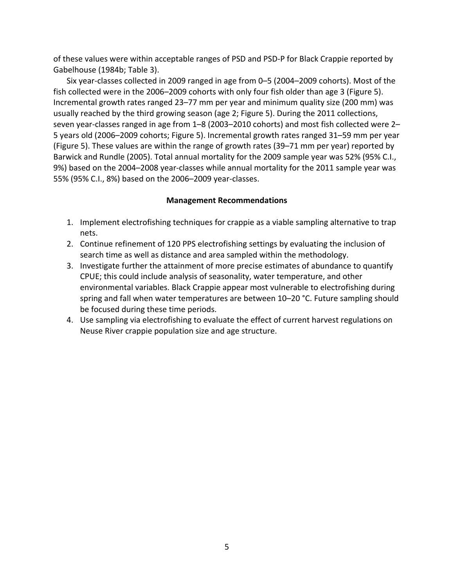of these values were within acceptable ranges of PSD and PSD‐P for Black Crappie reported by Gabelhouse (1984b; Table 3).

Six year‐classes collected in 2009 ranged in age from 0–5 (2004–2009 cohorts). Most of the fish collected were in the 2006–2009 cohorts with only four fish older than age 3 (Figure 5). Incremental growth rates ranged 23–77 mm per year and minimum quality size (200 mm) was usually reached by the third growing season (age 2; Figure 5). During the 2011 collections, seven year-classes ranged in age from 1–8 (2003–2010 cohorts) and most fish collected were 2– 5 years old (2006–2009 cohorts; Figure 5). Incremental growth rates ranged 31–59 mm per year (Figure 5). These values are within the range of growth rates (39–71 mm per year) reported by Barwick and Rundle (2005). Total annual mortality for the 2009 sample year was 52% (95% C.I., 9%) based on the 2004–2008 year-classes while annual mortality for the 2011 sample year was 55% (95% C.I., 8%) based on the 2006–2009 year‐classes.

## **Management Recommendations**

- 1. Implement electrofishing techniques for crappie as a viable sampling alternative to trap nets.
- 2. Continue refinement of 120 PPS electrofishing settings by evaluating the inclusion of search time as well as distance and area sampled within the methodology.
- 3. Investigate further the attainment of more precise estimates of abundance to quantify CPUE; this could include analysis of seasonality, water temperature, and other environmental variables. Black Crappie appear most vulnerable to electrofishing during spring and fall when water temperatures are between 10–20 °C. Future sampling should be focused during these time periods.
- 4. Use sampling via electrofishing to evaluate the effect of current harvest regulations on Neuse River crappie population size and age structure.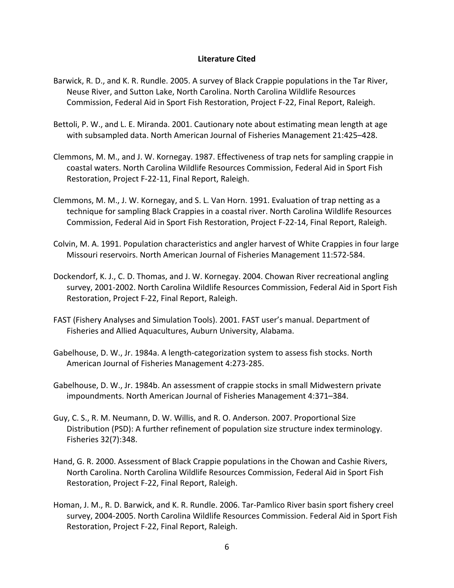### **Literature Cited**

- Barwick, R. D., and K. R. Rundle. 2005. A survey of Black Crappie populations in the Tar River, Neuse River, and Sutton Lake, North Carolina. North Carolina Wildlife Resources Commission, Federal Aid in Sport Fish Restoration, Project F‐22, Final Report, Raleigh.
- Bettoli, P. W., and L. E. Miranda. 2001. Cautionary note about estimating mean length at age with subsampled data. North American Journal of Fisheries Management 21:425–428.
- Clemmons, M. M., and J. W. Kornegay. 1987. Effectiveness of trap nets for sampling crappie in coastal waters. North Carolina Wildlife Resources Commission, Federal Aid in Sport Fish Restoration, Project F‐22‐11, Final Report, Raleigh.
- Clemmons, M. M., J. W. Kornegay, and S. L. Van Horn. 1991. Evaluation of trap netting as a technique for sampling Black Crappies in a coastal river. North Carolina Wildlife Resources Commission, Federal Aid in Sport Fish Restoration, Project F‐22‐14, Final Report, Raleigh.
- Colvin, M. A. 1991. Population characteristics and angler harvest of White Crappies in four large Missouri reservoirs. North American Journal of Fisheries Management 11:572‐584.
- Dockendorf, K. J., C. D. Thomas, and J. W. Kornegay. 2004. Chowan River recreational angling survey, 2001‐2002. North Carolina Wildlife Resources Commission, Federal Aid in Sport Fish Restoration, Project F‐22, Final Report, Raleigh.
- FAST (Fishery Analyses and Simulation Tools). 2001. FAST user's manual. Department of Fisheries and Allied Aquacultures, Auburn University, Alabama.
- Gabelhouse, D. W., Jr. 1984a. A length‐categorization system to assess fish stocks. North American Journal of Fisheries Management 4:273‐285.
- Gabelhouse, D. W., Jr. 1984b. An assessment of crappie stocks in small Midwestern private impoundments. North American Journal of Fisheries Management 4:371–384.
- Guy, C. S., R. M. Neumann, D. W. Willis, and R. O. Anderson. 2007. Proportional Size Distribution (PSD): A further refinement of population size structure index terminology. Fisheries 32(7):348.
- Hand, G. R. 2000. Assessment of Black Crappie populations in the Chowan and Cashie Rivers, North Carolina. North Carolina Wildlife Resources Commission, Federal Aid in Sport Fish Restoration, Project F‐22, Final Report, Raleigh.
- Homan, J. M., R. D. Barwick, and K. R. Rundle. 2006. Tar‐Pamlico River basin sport fishery creel survey, 2004‐2005. North Carolina Wildlife Resources Commission. Federal Aid in Sport Fish Restoration, Project F‐22, Final Report, Raleigh.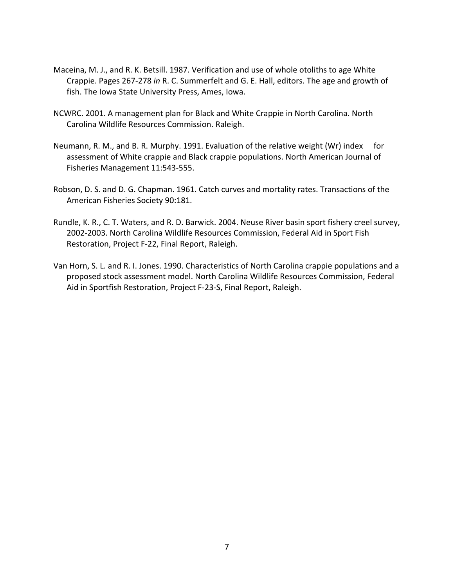- Maceina, M. J., and R. K. Betsill. 1987. Verification and use of whole otoliths to age White Crappie. Pages 267‐278 *in* R. C. Summerfelt and G. E. Hall, editors. The age and growth of fish. The Iowa State University Press, Ames, Iowa.
- NCWRC. 2001. A management plan for Black and White Crappie in North Carolina. North Carolina Wildlife Resources Commission. Raleigh.
- Neumann, R. M., and B. R. Murphy. 1991. Evaluation of the relative weight (Wr) index for assessment of White crappie and Black crappie populations. North American Journal of Fisheries Management 11:543‐555.
- Robson, D. S. and D. G. Chapman. 1961. Catch curves and mortality rates. Transactions of the American Fisheries Society 90:181.
- Rundle, K. R., C. T. Waters, and R. D. Barwick. 2004. Neuse River basin sport fishery creel survey, 2002‐2003. North Carolina Wildlife Resources Commission, Federal Aid in Sport Fish Restoration, Project F‐22, Final Report, Raleigh.
- Van Horn, S. L. and R. I. Jones. 1990. Characteristics of North Carolina crappie populations and a proposed stock assessment model. North Carolina Wildlife Resources Commission, Federal Aid in Sportfish Restoration, Project F‐23‐S, Final Report, Raleigh.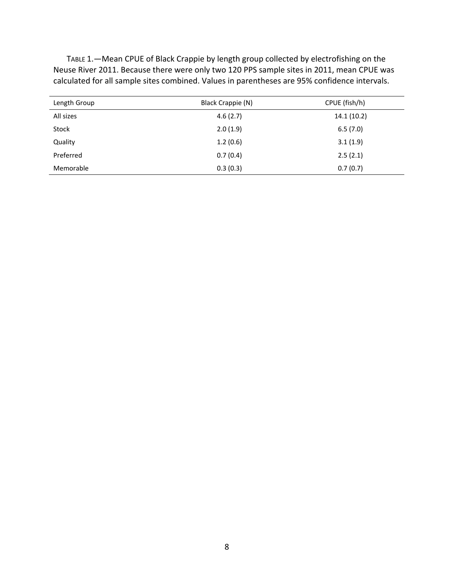TABLE 1.—Mean CPUE of Black Crappie by length group collected by electrofishing on the Neuse River 2011. Because there were only two 120 PPS sample sites in 2011, mean CPUE was calculated for all sample sites combined. Values in parentheses are 95% confidence intervals.

| Length Group | Black Crappie (N) | CPUE (fish/h) |
|--------------|-------------------|---------------|
| All sizes    | 4.6(2.7)          | 14.1(10.2)    |
| Stock        | 2.0(1.9)          | 6.5(7.0)      |
| Quality      | 1.2(0.6)          | 3.1(1.9)      |
| Preferred    | 0.7(0.4)          | 2.5(2.1)      |
| Memorable    | 0.3(0.3)          | 0.7(0.7)      |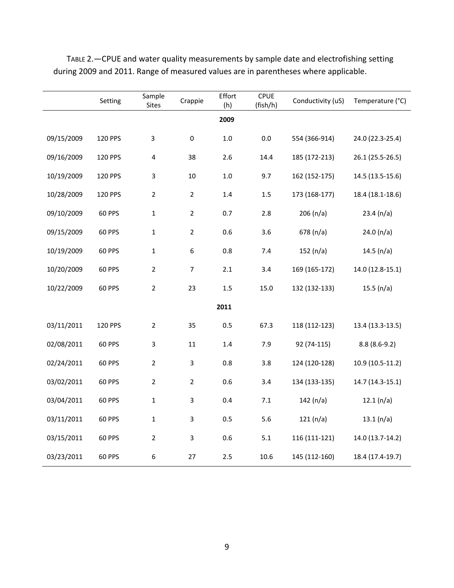|            | Setting       | Sample<br><b>Sites</b>  | Crappie        | Effort<br>(h) | <b>CPUE</b><br>(fish/h) | Conductivity (uS) | Temperature (°C) |
|------------|---------------|-------------------------|----------------|---------------|-------------------------|-------------------|------------------|
| 2009       |               |                         |                |               |                         |                   |                  |
| 09/15/2009 | 120 PPS       | $\overline{\mathbf{3}}$ | $\pmb{0}$      | $1.0\,$       | 0.0                     | 554 (366-914)     | 24.0 (22.3-25.4) |
| 09/16/2009 | 120 PPS       | $\overline{\mathbf{4}}$ | 38             | 2.6           | 14.4                    | 185 (172-213)     | 26.1 (25.5-26.5) |
| 10/19/2009 | 120 PPS       | 3                       | $10\,$         | $1.0\,$       | 9.7                     | 162 (152-175)     | 14.5 (13.5-15.6) |
| 10/28/2009 | 120 PPS       | $\overline{2}$          | $\overline{2}$ | 1.4           | $1.5\,$                 | 173 (168-177)     | 18.4 (18.1-18.6) |
| 09/10/2009 | <b>60 PPS</b> | $\mathbf 1$             | $\overline{2}$ | 0.7           | 2.8                     | 206 (n/a)         | 23.4 (n/a)       |
| 09/15/2009 | <b>60 PPS</b> | $\mathbf 1$             | $\overline{2}$ | 0.6           | 3.6                     | 678(n/a)          | 24.0(n/a)        |
| 10/19/2009 | <b>60 PPS</b> | $\mathbf 1$             | 6              | 0.8           | 7.4                     | 152 $(n/a)$       | 14.5 $(n/a)$     |
| 10/20/2009 | <b>60 PPS</b> | $\overline{2}$          | $\overline{7}$ | 2.1           | 3.4                     | 169 (165-172)     | 14.0 (12.8-15.1) |
| 10/22/2009 | <b>60 PPS</b> | $\overline{2}$          | 23             | $1.5\,$       | 15.0                    | 132 (132-133)     | 15.5 $(n/a)$     |
| 2011       |               |                         |                |               |                         |                   |                  |
| 03/11/2011 | 120 PPS       | $\overline{2}$          | 35             | 0.5           | 67.3                    | 118 (112-123)     | 13.4 (13.3-13.5) |
| 02/08/2011 | <b>60 PPS</b> | $\overline{3}$          | 11             | 1.4           | 7.9                     | 92 (74-115)       | $8.8(8.6-9.2)$   |
| 02/24/2011 | <b>60 PPS</b> | $\overline{2}$          | 3              | 0.8           | 3.8                     | 124 (120-128)     | 10.9 (10.5-11.2) |
| 03/02/2011 | <b>60 PPS</b> | $\overline{2}$          | $\overline{2}$ | 0.6           | 3.4                     | 134 (133-135)     | 14.7 (14.3-15.1) |
| 03/04/2011 | <b>60 PPS</b> | $\mathbf{1}$            | 3              | 0.4           | $7.1\,$                 | 142 $(n/a)$       | 12.1(n/a)        |
| 03/11/2011 | <b>60 PPS</b> | $\mathbf 1$             | 3              | 0.5           | 5.6                     | 121(n/a)          | 13.1(n/a)        |
| 03/15/2011 | <b>60 PPS</b> | $\overline{2}$          | 3              | 0.6           | 5.1                     | 116 (111-121)     | 14.0 (13.7-14.2) |
| 03/23/2011 | <b>60 PPS</b> | 6                       | 27             | 2.5           | 10.6                    | 145 (112-160)     | 18.4 (17.4-19.7) |

TABLE 2.—CPUE and water quality measurements by sample date and electrofishing setting during 2009 and 2011. Range of measured values are in parentheses where applicable.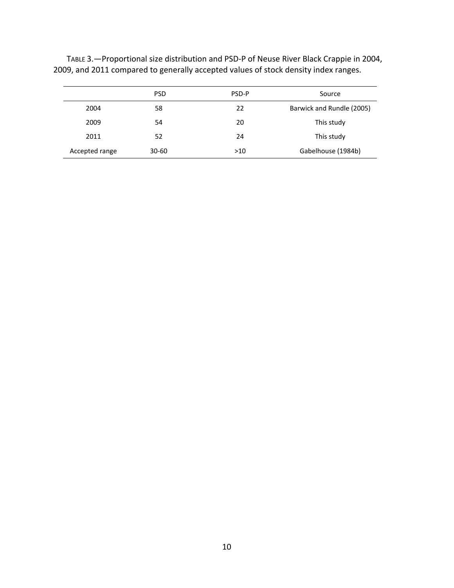|                | <b>PSD</b> | PSD-P | Source                    |
|----------------|------------|-------|---------------------------|
| 2004           | 58         | 22    | Barwick and Rundle (2005) |
| 2009           | 54         | 20    | This study                |
| 2011           | 52         | 24    | This study                |
| Accepted range | $30 - 60$  | >10   | Gabelhouse (1984b)        |

TABLE 3. - Proportional size distribution and PSD-P of Neuse River Black Crappie in 2004, 2009, and 2011 compared to generally accepted values of stock density index ranges.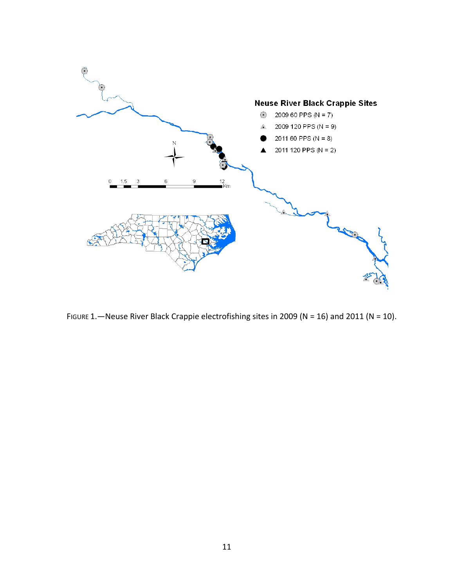

FIGURE 1. - Neuse River Black Crappie electrofishing sites in 2009 (N = 16) and 2011 (N = 10).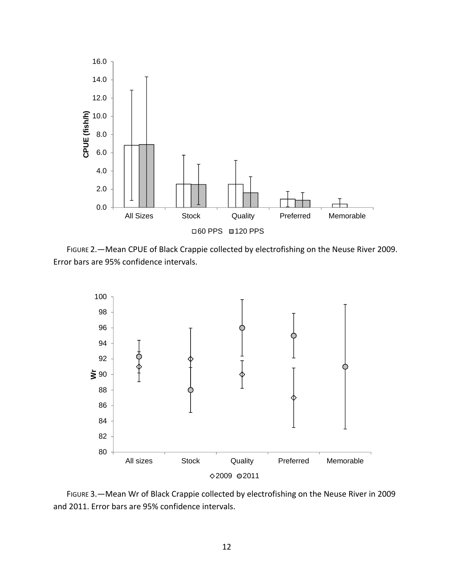

FIGURE 2.—Mean CPUE of Black Crappie collected by electrofishing on the Neuse River 2009. Error bars are 95% confidence intervals.



FIGURE 3.—Mean Wr of Black Crappie collected by electrofishing on the Neuse River in 2009 and 2011. Error bars are 95% confidence intervals.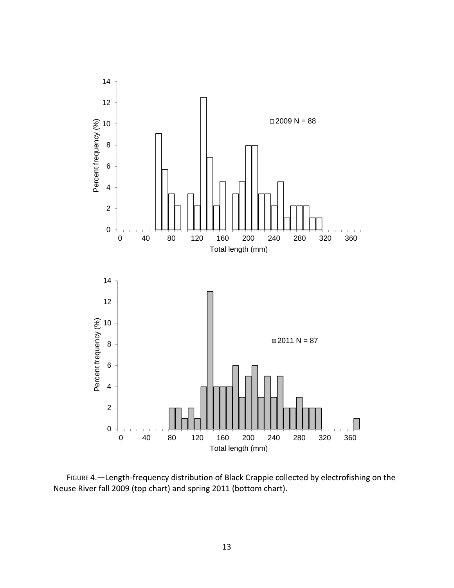

FIGURE 4. - Length-frequency distribution of Black Crappie collected by electrofishing on the Neuse River fall 2009 (top chart) and spring 2011 (bottom chart).